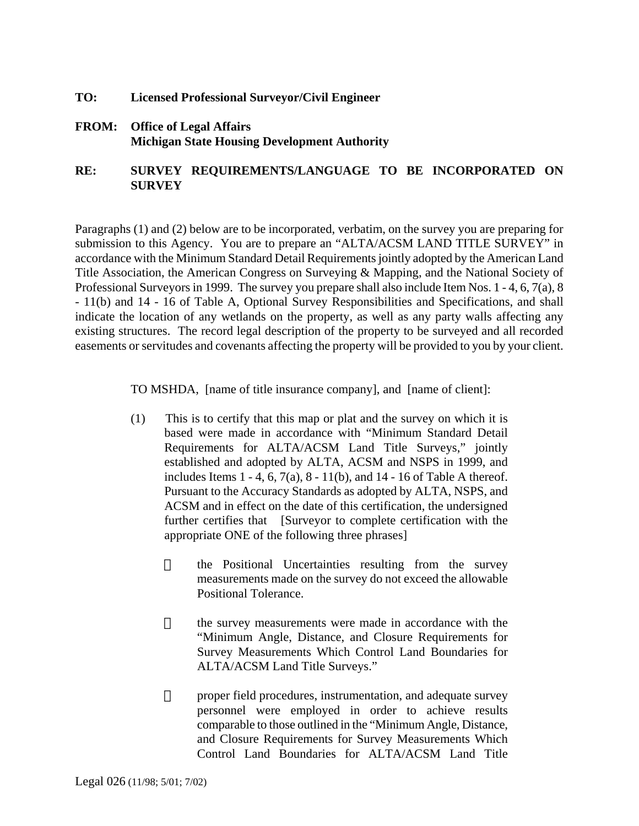- **TO: Licensed Professional Surveyor/Civil Engineer**
- **FROM: Office of Legal Affairs Michigan State Housing Development Authority**

## **RE: SURVEY REQUIREMENTS/LANGUAGE TO BE INCORPORATED ON SURVEY**

Paragraphs (1) and (2) below are to be incorporated, verbatim, on the survey you are preparing for submission to this Agency. You are to prepare an "ALTA/ACSM LAND TITLE SURVEY" in accordance with the Minimum Standard Detail Requirements jointly adopted by the American Land Title Association, the American Congress on Surveying & Mapping, and the National Society of Professional Surveyors in 1999. The survey you prepare shall also include Item Nos. 1 - 4, 6, 7(a), 8 - 11(b) and 14 - 16 of Table A, Optional Survey Responsibilities and Specifications, and shall indicate the location of any wetlands on the property, as well as any party walls affecting any existing structures. The record legal description of the property to be surveyed and all recorded easements or servitudes and covenants affecting the property will be provided to you by your client.

TO MSHDA, [name of title insurance company], and [name of client]:

- (1) This is to certify that this map or plat and the survey on which it is based were made in accordance with "Minimum Standard Detail Requirements for ALTA/ACSM Land Title Surveys," jointly established and adopted by ALTA, ACSM and NSPS in 1999, and includes Items  $1 - 4$ ,  $6$ ,  $7(a)$ ,  $8 - 11(b)$ , and  $14 - 16$  of Table A thereof. Pursuant to the Accuracy Standards as adopted by ALTA, NSPS, and ACSM and in effect on the date of this certification, the undersigned further certifies that [Surveyor to complete certification with the appropriate ONE of the following three phrases]
	- $\Box$  the Positional Uncertainties resulting from the survey measurements made on the survey do not exceed the allowable Positional Tolerance.
	- $\Box$  the survey measurements were made in accordance with the "Minimum Angle, Distance, and Closure Requirements for Survey Measurements Which Control Land Boundaries for ALTA/ACSM Land Title Surveys."
	- $\Box$  proper field procedures, instrumentation, and adequate survey personnel were employed in order to achieve results comparable to those outlined in the "Minimum Angle, Distance, and Closure Requirements for Survey Measurements Which Control Land Boundaries for ALTA/ACSM Land Title